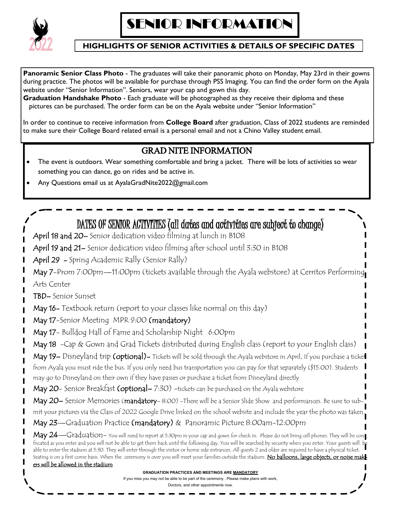

### **HIGHLIGHTS OF SENIOR ACTIVITIES & DETAILS OF SPECIFIC DATES**

**Panoramic Senior Class Photo** - The graduates will take their panoramic photo on Monday, May 23rd in their gowns during practice. The photos will be available for purchase through PSS Imaging. You can find the order form on the Ayala website under "Senior Information". Seniors, wear your cap and gown this day.

**Graduation Handshake Photo** - Each graduate will be photographed as they receive their diploma and these pictures can be purchased. The order form can be on the Ayala website under "Senior Information"

In order to continue to receive information from **College Board** after graduation, Class of 2022 students are reminded to make sure their College Board related email is a personal email and not a Chino Valley student email.

## GRAD NITE INFORMATION

- The event is outdoors. Wear something comfortable and bring a jacket. There will be lots of activities so wear something you can dance, go on rides and be active in.
- Any Questions email us at AyalaGradNite2022@gmail.com

# DATES OF SENIOR ACTIVITIES (all dates and activities are subject to change)

April 18 and 20– Senior dedication video filming at lunch in B108

April 19 and 21– Senior dedication video filming after school until 3:30 in B108

April 29 - Spring Academic Rally (Senior Rally)

May 7-Prom 7:00pm—11:00pm (tickets available through the Ayala webstore) at Cerritos Performing Arts Center

TBD– Senior Sunset

May 16- Textbook return (report to your classes like normal on this day)

May 17-Senior Meeting MPR 9:00 (mandatory)

May 17 - Bulldog Hall of Fame and Scholarship Night 6:00pm

May 18 -Cap & Gown and Grad Tickets distributed during English class (report to your English class)

May 19– Disneyland trip (optional)– Tickets will be sold through the Ayala webstore in April. If you purchase a ticket from Ayala you must ride the bus. If you only need bus transportation you can pay for that separately (\$15.00). Students may go to Disneyland on their own if they have passes or purchase a ticket from Disneyland directly

May 20- Senior Breakfast (optional-7:30) -tickets can be purchased on the Ayala webstore

May 20– Senior Memories (mandatory–8:00) - There will be a Senior Slide Show and performances. Be sure to submit your pictures via the Class of 2022 Google Drive linked on the school website and include the year the photo was taken.

May 23—Graduation Practice (mandatory) & Panoramic Picture 8:00am-12:00pm

 $\rm{May}$   $24$ —Gra $\rm{d}$ uation– You will need to report at 5:30pm in your cap and gown for check in. Please do not bring cell phones. They will be con-Figy 2+ Graduation, the will not be able to get them back until the following day. You will be searched by security when you enter. Your guests will be fiscated as you enter and you will not be able to get them back until able to enter the stadium at 5:30. They will enter through the visitor or home side entrances. All guests 2 and older are required to have a physical ticket. Seating is on a first come basis. When the ceremony is over you will meet your families outside the stadium. <mark>No balloons, large objects, or noise mak-</mark> ers will be allowed in the stadium